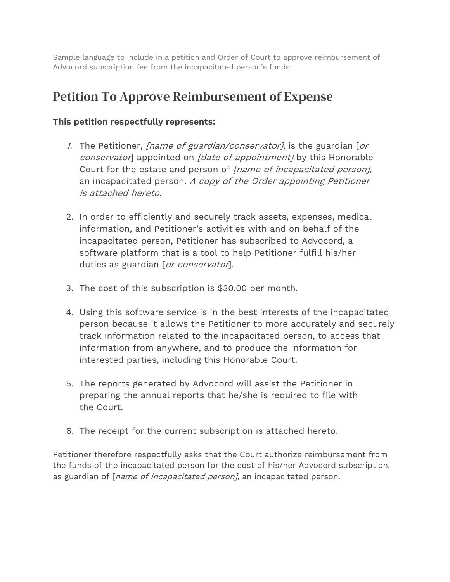Sample language to include in a petition and Order of Court to approve reimbursement of Advocord subscription fee from the incapacitated person's funds:

## Petition To Approve Reimbursement of Expense

## **This petition respectfully represents:**

- 1. The Petitioner, *[name of guardian/conservator]*, is the guardian [or conservator] appointed on [date of appointment] by this Honorable Court for the estate and person of [name of incapacitated person], an incapacitated person. A copy of the Order appointing Petitioner is attached hereto.
- 2. In order to efficiently and securely track assets, expenses, medical information, and Petitioner's activities with and on behalf of the incapacitated person, Petitioner has subscribed to Advocord, a software platform that is a tool to help Petitioner fulfill his/her duties as guardian [or conservator].
- 3. The cost of this subscription is \$30.00 per month.
- 4. Using this software service is in the best interests of the incapacitated person because it allows the Petitioner to more accurately and securely track information related to the incapacitated person, to access that information from anywhere, and to produce the information for interested parties, including this Honorable Court.
- 5. The reports generated by Advocord will assist the Petitioner in preparing the annual reports that he/she is required to file with the Court.
- 6. The receipt for the current subscription is attached hereto.

Petitioner therefore respectfully asks that the Court authorize reimbursement from the funds of the incapacitated person for the cost of his/her Advocord subscription, as guardian of [*name of incapacitated person*], an incapacitated person.